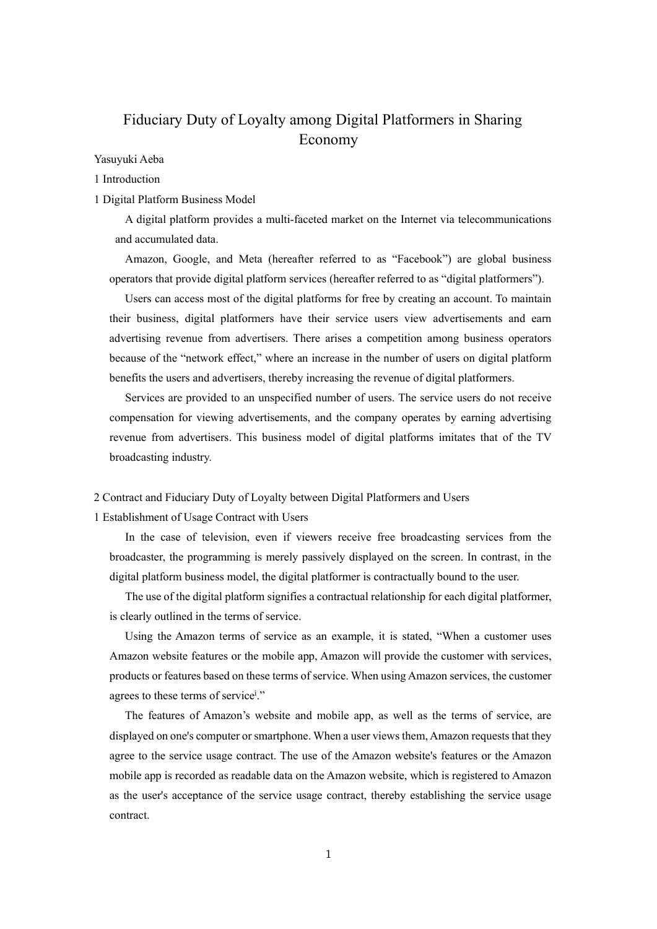# Fiduciary Duty of Loyalty among Digital Platformers in Sharing Economy

Yasuyuki Aeba

1 Introduction

# 1 Digital Platform Business Model

A digital platform provides a multi-faceted market on the Internet via telecommunications and accumulated data.

Amazon, Google, and Meta (hereafter referred to as "Facebook") are global business operators that provide digital platform services (hereafter referred to as "digital platformers").

Users can access most of the digital platforms for free by creating an account. To maintain their business, digital platformers have their service users view advertisements and earn advertising revenue from advertisers. There arises a competition among business operators because of the "network effect," where an increase in the number of users on digital platform benefits the users and advertisers, thereby increasing the revenue of digital platformers.

Services are provided to an unspecified number of users. The service users do not receive compensation for viewing advertisements, and the company operates by earning advertising revenue from advertisers. This business model of digital platforms imitates that of the TV broadcasting industry.

#### 2 Contract and Fiduciary Duty of Loyalty between Digital Platformers and Users

1 Establishment of Usage Contract with Users

In the case of television, even if viewers receive free broadcasting services from the broadcaster, the programming is merely passively displayed on the screen. In contrast, in the digital platform business model, the digital platformer is contractually bound to the user.

The use of the digital platform signifies a contractual relationship for each digital platformer, is clearly outlined in the terms of service.

Using the Amazon terms of service as an example, it is stated, "When a customer uses Amazon website features or the mobile app, Amazon will provide the customer with services, products or features based on these terms of service. When using Amazon services, the customer agrees to these terms of service<sup>i</sup>."

The features of Amazon's website and mobile app, as well as the terms of service, are displayed on one's computer or smartphone. When a user views them, Amazon requests that they agree to the service usage contract. The use of the Amazon website's features or the Amazon mobile app is recorded as readable data on the Amazon website, which is registered to Amazon as the user's acceptance of the service usage contract, thereby establishing the service usage contract.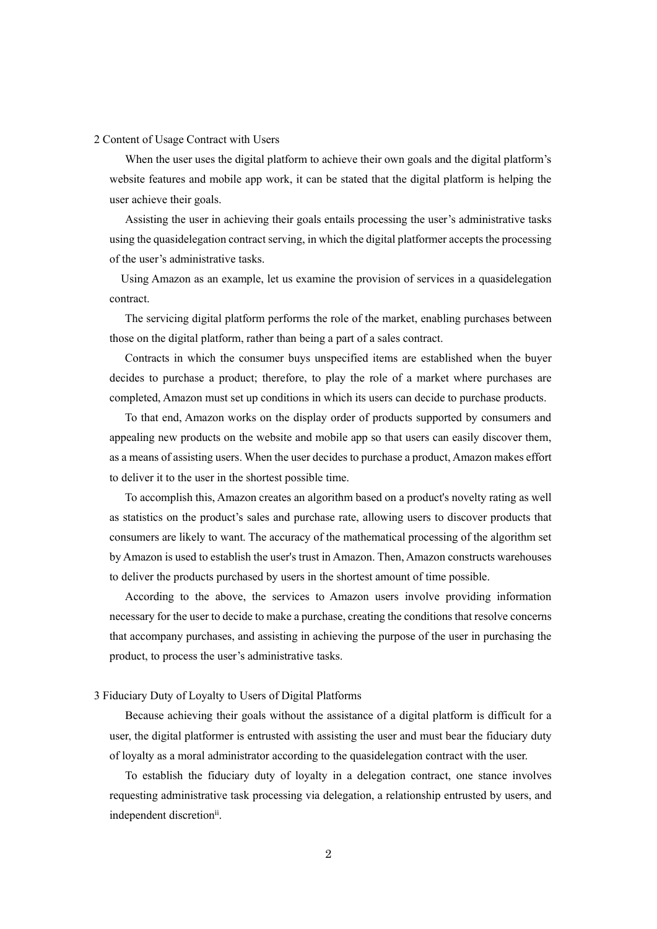#### 2 Content of Usage Contract with Users

When the user uses the digital platform to achieve their own goals and the digital platform's website features and mobile app work, it can be stated that the digital platform is helping the user achieve their goals.

Assisting the user in achieving their goals entails processing the user's administrative tasks using the quasidelegation contract serving, in which the digital platformer accepts the processing of the user's administrative tasks.

Using Amazon as an example, let us examine the provision of services in a quasidelegation contract.

The servicing digital platform performs the role of the market, enabling purchases between those on the digital platform, rather than being a part of a sales contract.

Contracts in which the consumer buys unspecified items are established when the buyer decides to purchase a product; therefore, to play the role of a market where purchases are completed, Amazon must set up conditions in which its users can decide to purchase products.

To that end, Amazon works on the display order of products supported by consumers and appealing new products on the website and mobile app so that users can easily discover them, as a means of assisting users. When the user decides to purchase a product, Amazon makes effort to deliver it to the user in the shortest possible time.

To accomplish this, Amazon creates an algorithm based on a product's novelty rating as well as statistics on the product's sales and purchase rate, allowing users to discover products that consumers are likely to want. The accuracy of the mathematical processing of the algorithm set by Amazon is used to establish the user's trust in Amazon. Then, Amazon constructs warehouses to deliver the products purchased by users in the shortest amount of time possible.

According to the above, the services to Amazon users involve providing information necessary for the user to decide to make a purchase, creating the conditions that resolve concerns that accompany purchases, and assisting in achieving the purpose of the user in purchasing the product, to process the user's administrative tasks.

#### 3 Fiduciary Duty of Loyalty to Users of Digital Platforms

Because achieving their goals without the assistance of a digital platform is difficult for a user, the digital platformer is entrusted with assisting the user and must bear the fiduciary duty of loyalty as a moral administrator according to the quasidelegation contract with the user.

To establish the fiduciary duty of loyalty in a delegation contract, one stance involves requesting administrative task processing via delegation, a relationship entrusted by users, and independent discretionii.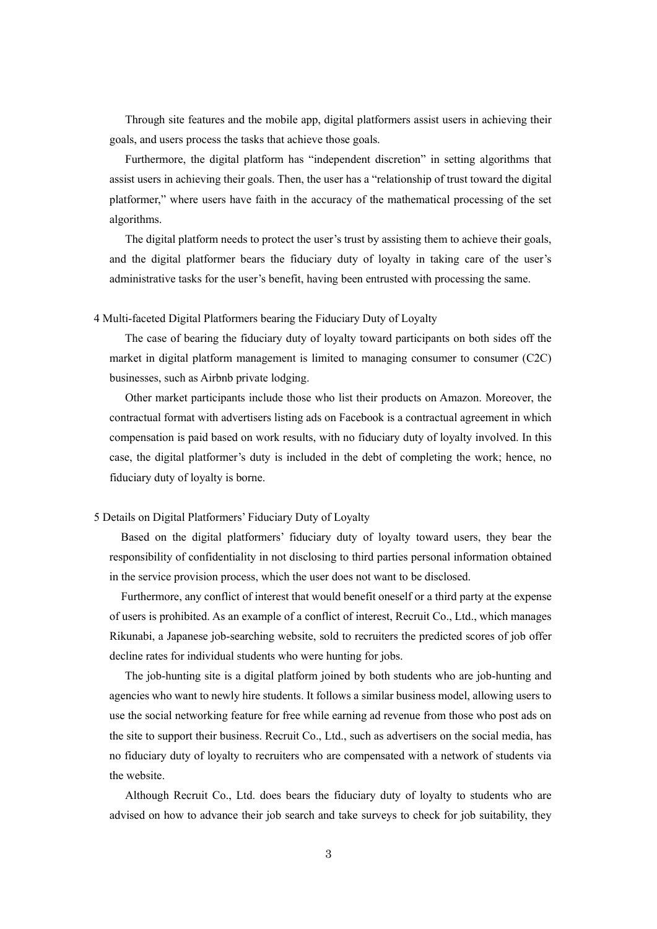Through site features and the mobile app, digital platformers assist users in achieving their goals, and users process the tasks that achieve those goals.

Furthermore, the digital platform has "independent discretion" in setting algorithms that assist users in achieving their goals. Then, the user has a "relationship of trust toward the digital platformer," where users have faith in the accuracy of the mathematical processing of the set algorithms.

The digital platform needs to protect the user's trust by assisting them to achieve their goals, and the digital platformer bears the fiduciary duty of loyalty in taking care of the user's administrative tasks for the user's benefit, having been entrusted with processing the same.

4 Multi-faceted Digital Platformers bearing the Fiduciary Duty of Loyalty

The case of bearing the fiduciary duty of loyalty toward participants on both sides off the market in digital platform management is limited to managing consumer to consumer (C2C) businesses, such as Airbnb private lodging.

Other market participants include those who list their products on Amazon. Moreover, the contractual format with advertisers listing ads on Facebook is a contractual agreement in which compensation is paid based on work results, with no fiduciary duty of loyalty involved. In this case, the digital platformer's duty is included in the debt of completing the work; hence, no fiduciary duty of loyalty is borne.

# 5 Details on Digital Platformers' Fiduciary Duty of Loyalty

Based on the digital platformers' fiduciary duty of loyalty toward users, they bear the responsibility of confidentiality in not disclosing to third parties personal information obtained in the service provision process, which the user does not want to be disclosed.

Furthermore, any conflict of interest that would benefit oneself or a third party at the expense of users is prohibited. As an example of a conflict of interest, Recruit Co., Ltd., which manages Rikunabi, a Japanese job-searching website, sold to recruiters the predicted scores of job offer decline rates for individual students who were hunting for jobs.

The job-hunting site is a digital platform joined by both students who are job-hunting and agencies who want to newly hire students. It follows a similar business model, allowing users to use the social networking feature for free while earning ad revenue from those who post ads on the site to support their business. Recruit Co., Ltd., such as advertisers on the social media, has no fiduciary duty of loyalty to recruiters who are compensated with a network of students via the website.

Although Recruit Co., Ltd. does bears the fiduciary duty of loyalty to students who are advised on how to advance their job search and take surveys to check for job suitability, they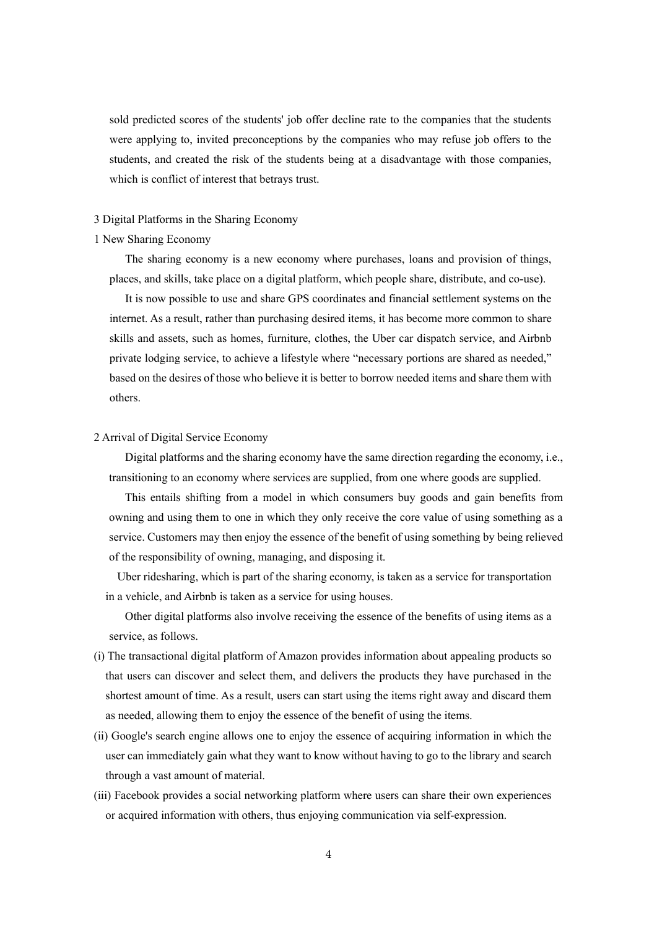sold predicted scores of the students' job offer decline rate to the companies that the students were applying to, invited preconceptions by the companies who may refuse job offers to the students, and created the risk of the students being at a disadvantage with those companies, which is conflict of interest that betrays trust.

#### 3 Digital Platforms in the Sharing Economy

## 1 New Sharing Economy

The sharing economy is a new economy where purchases, loans and provision of things, places, and skills, take place on a digital platform, which people share, distribute, and co-use).

It is now possible to use and share GPS coordinates and financial settlement systems on the internet. As a result, rather than purchasing desired items, it has become more common to share skills and assets, such as homes, furniture, clothes, the Uber car dispatch service, and Airbnb private lodging service, to achieve a lifestyle where "necessary portions are shared as needed," based on the desires of those who believe it is better to borrow needed items and share them with others.

#### 2 Arrival of Digital Service Economy

Digital platforms and the sharing economy have the same direction regarding the economy, i.e., transitioning to an economy where services are supplied, from one where goods are supplied.

This entails shifting from a model in which consumers buy goods and gain benefits from owning and using them to one in which they only receive the core value of using something as a service. Customers may then enjoy the essence of the benefit of using something by being relieved of the responsibility of owning, managing, and disposing it.

Uber ridesharing, which is part of the sharing economy, is taken as a service for transportation in a vehicle, and Airbnb is taken as a service for using houses.

Other digital platforms also involve receiving the essence of the benefits of using items as a service, as follows.

- (i) The transactional digital platform of Amazon provides information about appealing products so that users can discover and select them, and delivers the products they have purchased in the shortest amount of time. As a result, users can start using the items right away and discard them as needed, allowing them to enjoy the essence of the benefit of using the items.
- (ii) Google's search engine allows one to enjoy the essence of acquiring information in which the user can immediately gain what they want to know without having to go to the library and search through a vast amount of material.
- (iii) Facebook provides a social networking platform where users can share their own experiences or acquired information with others, thus enjoying communication via self-expression.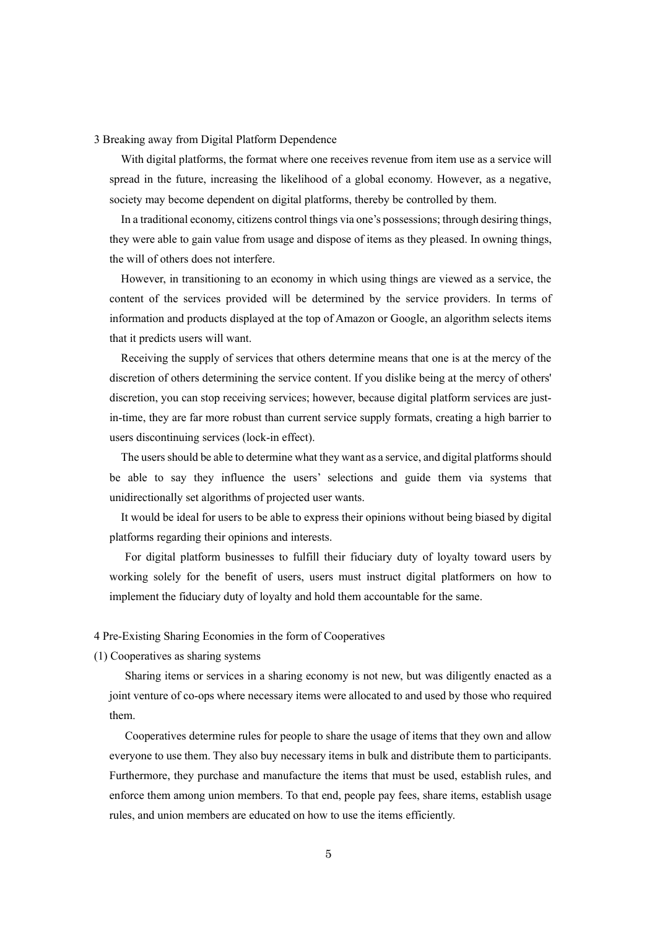3 Breaking away from Digital Platform Dependence

With digital platforms, the format where one receives revenue from item use as a service will spread in the future, increasing the likelihood of a global economy. However, as a negative, society may become dependent on digital platforms, thereby be controlled by them.

In a traditional economy, citizens control things via one's possessions; through desiring things, they were able to gain value from usage and dispose of items as they pleased. In owning things, the will of others does not interfere.

However, in transitioning to an economy in which using things are viewed as a service, the content of the services provided will be determined by the service providers. In terms of information and products displayed at the top of Amazon or Google, an algorithm selects items that it predicts users will want.

Receiving the supply of services that others determine means that one is at the mercy of the discretion of others determining the service content. If you dislike being at the mercy of others' discretion, you can stop receiving services; however, because digital platform services are justin-time, they are far more robust than current service supply formats, creating a high barrier to users discontinuing services (lock-in effect).

The users should be able to determine what they want as a service, and digital platforms should be able to say they influence the users' selections and guide them via systems that unidirectionally set algorithms of projected user wants.

It would be ideal for users to be able to express their opinions without being biased by digital platforms regarding their opinions and interests.

For digital platform businesses to fulfill their fiduciary duty of loyalty toward users by working solely for the benefit of users, users must instruct digital platformers on how to implement the fiduciary duty of loyalty and hold them accountable for the same.

4 Pre-Existing Sharing Economies in the form of Cooperatives

(1) Cooperatives as sharing systems

Sharing items or services in a sharing economy is not new, but was diligently enacted as a joint venture of co-ops where necessary items were allocated to and used by those who required them.

Cooperatives determine rules for people to share the usage of items that they own and allow everyone to use them. They also buy necessary items in bulk and distribute them to participants. Furthermore, they purchase and manufacture the items that must be used, establish rules, and enforce them among union members. To that end, people pay fees, share items, establish usage rules, and union members are educated on how to use the items efficiently.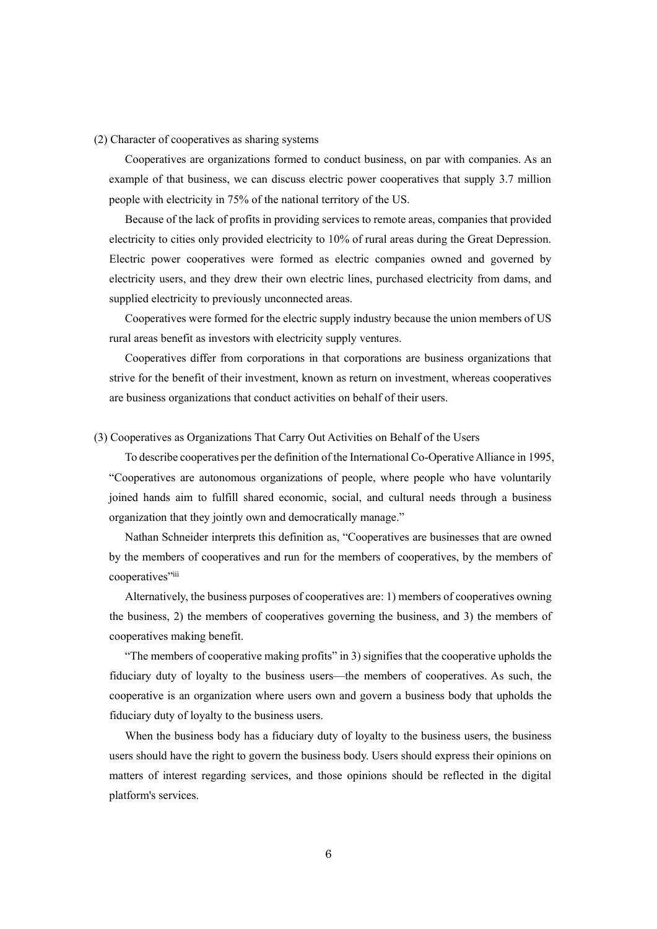#### (2) Character of cooperatives as sharing systems

Cooperatives are organizations formed to conduct business, on par with companies. As an example of that business, we can discuss electric power cooperatives that supply 3.7 million people with electricity in 75% of the national territory of the US.

Because of the lack of profits in providing services to remote areas, companies that provided electricity to cities only provided electricity to 10% of rural areas during the Great Depression. Electric power cooperatives were formed as electric companies owned and governed by electricity users, and they drew their own electric lines, purchased electricity from dams, and supplied electricity to previously unconnected areas.

Cooperatives were formed for the electric supply industry because the union members of US rural areas benefit as investors with electricity supply ventures.

Cooperatives differ from corporations in that corporations are business organizations that strive for the benefit of their investment, known as return on investment, whereas cooperatives are business organizations that conduct activities on behalf of their users.

## (3) Cooperatives as Organizations That Carry Out Activities on Behalf of the Users

To describe cooperatives per the definition of the International Co-Operative Alliance in 1995, "Cooperatives are autonomous organizations of people, where people who have voluntarily joined hands aim to fulfill shared economic, social, and cultural needs through a business organization that they jointly own and democratically manage."

Nathan Schneider interprets this definition as, "Cooperatives are businesses that are owned by the members of cooperatives and run for the members of cooperatives, by the members of cooperatives"

Alternatively, the business purposes of cooperatives are: 1) members of cooperatives owning the business, 2) the members of cooperatives governing the business, and 3) the members of cooperatives making benefit.

"The members of cooperative making profits" in 3) signifies that the cooperative upholds the fiduciary duty of loyalty to the business users—the members of cooperatives. As such, the cooperative is an organization where users own and govern a business body that upholds the fiduciary duty of loyalty to the business users.

When the business body has a fiduciary duty of loyalty to the business users, the business users should have the right to govern the business body. Users should express their opinions on matters of interest regarding services, and those opinions should be reflected in the digital platform's services.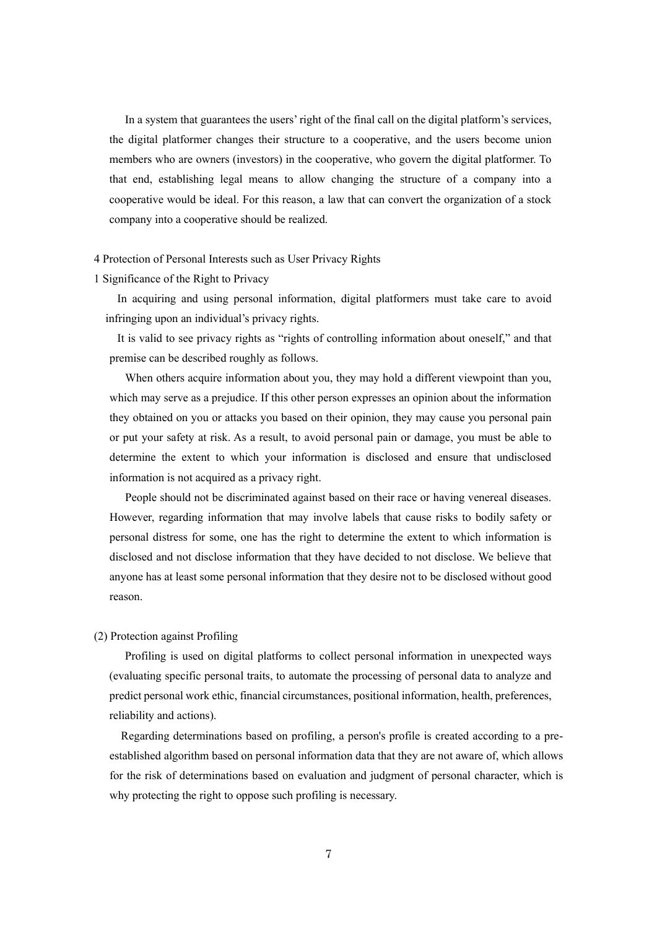In a system that guarantees the users' right of the final call on the digital platform's services, the digital platformer changes their structure to a cooperative, and the users become union members who are owners (investors) in the cooperative, who govern the digital platformer. To that end, establishing legal means to allow changing the structure of a company into a cooperative would be ideal. For this reason, a law that can convert the organization of a stock company into a cooperative should be realized.

## 4 Protection of Personal Interests such as User Privacy Rights

## 1 Significance of the Right to Privacy

In acquiring and using personal information, digital platformers must take care to avoid infringing upon an individual's privacy rights.

It is valid to see privacy rights as "rights of controlling information about oneself," and that premise can be described roughly as follows.

When others acquire information about you, they may hold a different viewpoint than you, which may serve as a prejudice. If this other person expresses an opinion about the information they obtained on you or attacks you based on their opinion, they may cause you personal pain or put your safety at risk. As a result, to avoid personal pain or damage, you must be able to determine the extent to which your information is disclosed and ensure that undisclosed information is not acquired as a privacy right.

People should not be discriminated against based on their race or having venereal diseases. However, regarding information that may involve labels that cause risks to bodily safety or personal distress for some, one has the right to determine the extent to which information is disclosed and not disclose information that they have decided to not disclose. We believe that anyone has at least some personal information that they desire not to be disclosed without good reason.

# (2) Protection against Profiling

Profiling is used on digital platforms to collect personal information in unexpected ways (evaluating specific personal traits, to automate the processing of personal data to analyze and predict personal work ethic, financial circumstances, positional information, health, preferences, reliability and actions).

Regarding determinations based on profiling, a person's profile is created according to a preestablished algorithm based on personal information data that they are not aware of, which allows for the risk of determinations based on evaluation and judgment of personal character, which is why protecting the right to oppose such profiling is necessary.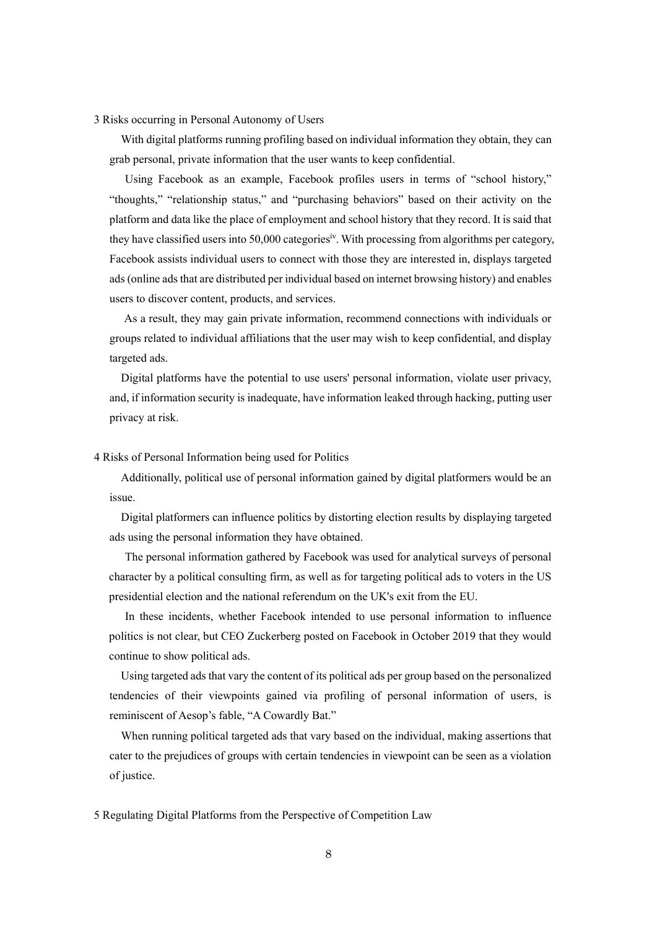## 3 Risks occurring in Personal Autonomy of Users

With digital platforms running profiling based on individual information they obtain, they can grab personal, private information that the user wants to keep confidential.

Using Facebook as an example, Facebook profiles users in terms of "school history," "thoughts," "relationship status," and "purchasing behaviors" based on their activity on the platform and data like the place of employment and school history that they record. It is said that they have classified users into 50,000 categoriesiv. With processing from algorithms per category, Facebook assists individual users to connect with those they are interested in, displays targeted ads (online ads that are distributed per individual based on internet browsing history) and enables users to discover content, products, and services.

As a result, they may gain private information, recommend connections with individuals or groups related to individual affiliations that the user may wish to keep confidential, and display targeted ads.

Digital platforms have the potential to use users' personal information, violate user privacy, and, if information security is inadequate, have information leaked through hacking, putting user privacy at risk.

#### 4 Risks of Personal Information being used for Politics

Additionally, political use of personal information gained by digital platformers would be an issue.

Digital platformers can influence politics by distorting election results by displaying targeted ads using the personal information they have obtained.

The personal information gathered by Facebook was used for analytical surveys of personal character by a political consulting firm, as well as for targeting political ads to voters in the US presidential election and the national referendum on the UK's exit from the EU.

In these incidents, whether Facebook intended to use personal information to influence politics is not clear, but CEO Zuckerberg posted on Facebook in October 2019 that they would continue to show political ads.

Using targeted ads that vary the content of its political ads per group based on the personalized tendencies of their viewpoints gained via profiling of personal information of users, is reminiscent of Aesop's fable, "A Cowardly Bat."

When running political targeted ads that vary based on the individual, making assertions that cater to the prejudices of groups with certain tendencies in viewpoint can be seen as a violation of justice.

5 Regulating Digital Platforms from the Perspective of Competition Law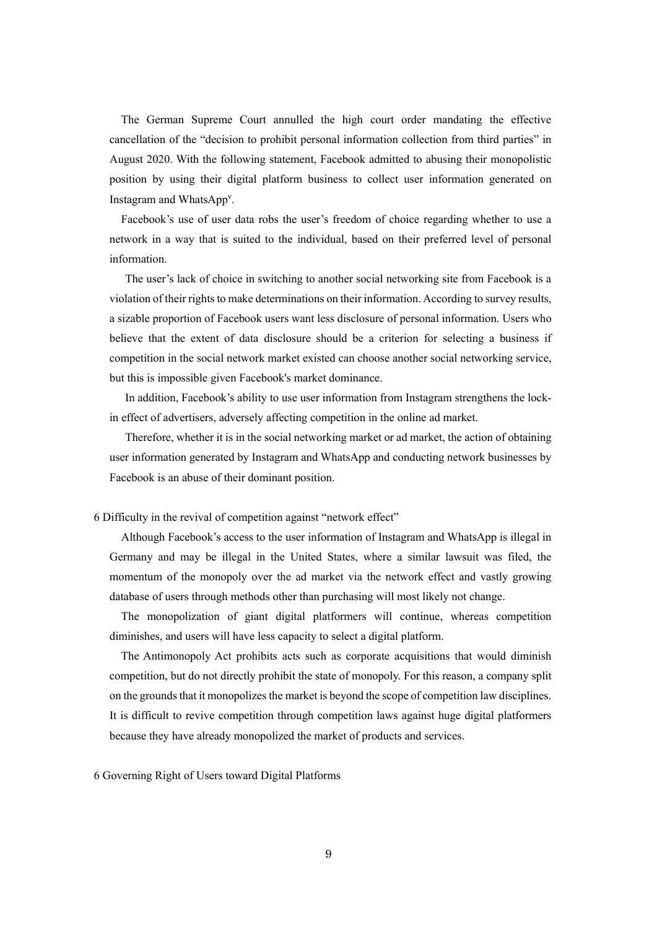The German Supreme Court annulled the high court order mandating the effective cancellation of the "decision to prohibit personal information collection from third parties" in August 2020. With the following statement, Facebook admitted to abusing their monopolistic position by using their digital platform business to collect user information generated on Instagram and WhatsApp<sup>v</sup> .

Facebook's use of user data robs the user's freedom of choice regarding whether to use a network in a way that is suited to the individual, based on their preferred level of personal information.

The user's lack of choice in switching to another social networking site from Facebook is a violation of their rights to make determinations on their information. According to survey results, a sizable proportion of Facebook users want less disclosure of personal information. Users who believe that the extent of data disclosure should be a criterion for selecting a business if competition in the social network market existed can choose another social networking service, but this is impossible given Facebook's market dominance.

In addition, Facebook's ability to use user information from Instagram strengthens the lockin effect of advertisers, adversely affecting competition in the online ad market.

Therefore, whether it is in the social networking market or ad market, the action of obtaining user information generated by Instagram and WhatsApp and conducting network businesses by Facebook is an abuse of their dominant position.

6 Difficulty in the revival of competition against "network effect"

Although Facebook's access to the user information of Instagram and WhatsApp is illegal in Germany and may be illegal in the United States, where a similar lawsuit was filed, the momentum of the monopoly over the ad market via the network effect and vastly growing database of users through methods other than purchasing will most likely not change.

The monopolization of giant digital platformers will continue, whereas competition diminishes, and users will have less capacity to select a digital platform.

The Antimonopoly Act prohibits acts such as corporate acquisitions that would diminish competition, but do not directly prohibit the state of monopoly. For this reason, a company split on the grounds that it monopolizes the market is beyond the scope of competition law disciplines. It is difficult to revive competition through competition laws against huge digital platformers because they have already monopolized the market of products and services.

6 Governing Right of Users toward Digital Platforms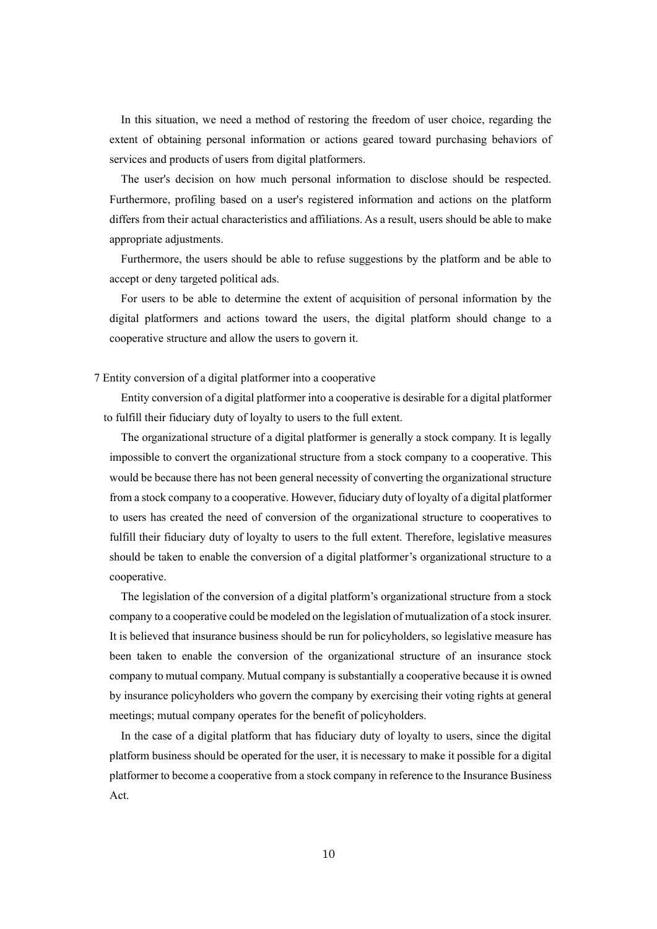In this situation, we need a method of restoring the freedom of user choice, regarding the extent of obtaining personal information or actions geared toward purchasing behaviors of services and products of users from digital platformers.

The user's decision on how much personal information to disclose should be respected. Furthermore, profiling based on a user's registered information and actions on the platform differs from their actual characteristics and affiliations. As a result, users should be able to make appropriate adjustments.

Furthermore, the users should be able to refuse suggestions by the platform and be able to accept or deny targeted political ads.

For users to be able to determine the extent of acquisition of personal information by the digital platformers and actions toward the users, the digital platform should change to a cooperative structure and allow the users to govern it.

7 Entity conversion of a digital platformer into a cooperative

Entity conversion of a digital platformer into a cooperative is desirable for a digital platformer to fulfill their fiduciary duty of loyalty to users to the full extent.

The organizational structure of a digital platformer is generally a stock company. It is legally impossible to convert the organizational structure from a stock company to a cooperative. This would be because there has not been general necessity of converting the organizational structure from a stock company to a cooperative. However, fiduciary duty of loyalty of a digital platformer to users has created the need of conversion of the organizational structure to cooperatives to fulfill their fiduciary duty of loyalty to users to the full extent. Therefore, legislative measures should be taken to enable the conversion of a digital platformer's organizational structure to a cooperative.

The legislation of the conversion of a digital platform's organizational structure from a stock company to a cooperative could be modeled on the legislation of mutualization of a stock insurer. It is believed that insurance business should be run for policyholders, so legislative measure has been taken to enable the conversion of the organizational structure of an insurance stock company to mutual company. Mutual company is substantially a cooperative because it is owned by insurance policyholders who govern the company by exercising their voting rights at general meetings; mutual company operates for the benefit of policyholders.

In the case of a digital platform that has fiduciary duty of loyalty to users, since the digital platform business should be operated for the user, it is necessary to make it possible for a digital platformer to become a cooperative from a stock company in reference to the Insurance Business Act.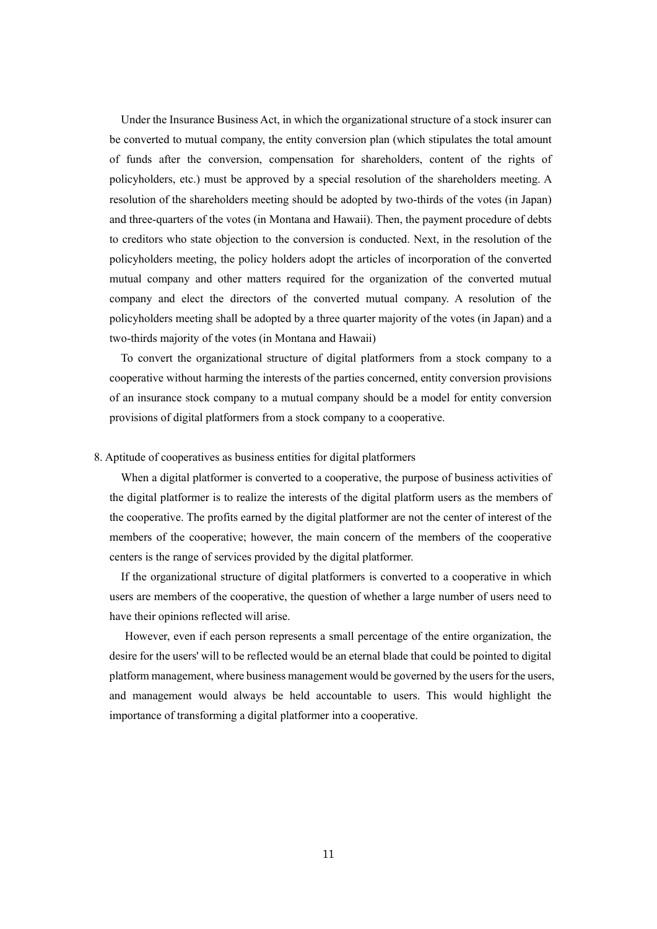Under the Insurance Business Act, in which the organizational structure of a stock insurer can be converted to mutual company, the entity conversion plan (which stipulates the total amount of funds after the conversion, compensation for shareholders, content of the rights of policyholders, etc.) must be approved by a special resolution of the shareholders meeting. A resolution of the shareholders meeting should be adopted by two-thirds of the votes (in Japan) and three-quarters of the votes (in Montana and Hawaii). Then, the payment procedure of debts to creditors who state objection to the conversion is conducted. Next, in the resolution of the policyholders meeting, the policy holders adopt the articles of incorporation of the converted mutual company and other matters required for the organization of the converted mutual company and elect the directors of the converted mutual company. A resolution of the policyholders meeting shall be adopted by a three quarter majority of the votes (in Japan) and a two-thirds majority of the votes (in Montana and Hawaii)

To convert the organizational structure of digital platformers from a stock company to a cooperative without harming the interests of the parties concerned, entity conversion provisions of an insurance stock company to a mutual company should be a model for entity conversion provisions of digital platformers from a stock company to a cooperative.

# 8. Aptitude of cooperatives as business entities for digital platformers

When a digital platformer is converted to a cooperative, the purpose of business activities of the digital platformer is to realize the interests of the digital platform users as the members of the cooperative. The profits earned by the digital platformer are not the center of interest of the members of the cooperative; however, the main concern of the members of the cooperative centers is the range of services provided by the digital platformer.

If the organizational structure of digital platformers is converted to a cooperative in which users are members of the cooperative, the question of whether a large number of users need to have their opinions reflected will arise.

However, even if each person represents a small percentage of the entire organization, the desire for the users' will to be reflected would be an eternal blade that could be pointed to digital platform management, where business management would be governed by the users for the users, and management would always be held accountable to users. This would highlight the importance of transforming a digital platformer into a cooperative.